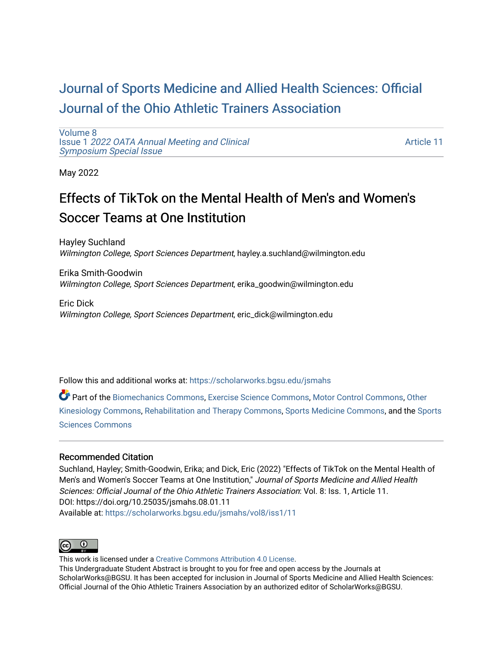# [Journal of Sports Medicine and Allied Health Sciences: Official](https://scholarworks.bgsu.edu/jsmahs)  [Journal of the Ohio Athletic Trainers Association](https://scholarworks.bgsu.edu/jsmahs)

[Volume 8](https://scholarworks.bgsu.edu/jsmahs/vol8) Issue 1 [2022 OATA Annual Meeting and Clinical](https://scholarworks.bgsu.edu/jsmahs/vol8/iss1) [Symposium Special Issue](https://scholarworks.bgsu.edu/jsmahs/vol8/iss1)

[Article 11](https://scholarworks.bgsu.edu/jsmahs/vol8/iss1/11) 

May 2022

# Effects of TikTok on the Mental Health of Men's and Women's Soccer Teams at One Institution

Hayley Suchland Wilmington College, Sport Sciences Department, hayley.a.suchland@wilmington.edu

Erika Smith-Goodwin Wilmington College, Sport Sciences Department, erika\_goodwin@wilmington.edu

Eric Dick Wilmington College, Sport Sciences Department, eric\_dick@wilmington.edu

Follow this and additional works at: [https://scholarworks.bgsu.edu/jsmahs](https://scholarworks.bgsu.edu/jsmahs?utm_source=scholarworks.bgsu.edu%2Fjsmahs%2Fvol8%2Fiss1%2F11&utm_medium=PDF&utm_campaign=PDFCoverPages)

Part of the [Biomechanics Commons,](https://network.bepress.com/hgg/discipline/43?utm_source=scholarworks.bgsu.edu%2Fjsmahs%2Fvol8%2Fiss1%2F11&utm_medium=PDF&utm_campaign=PDFCoverPages) [Exercise Science Commons](https://network.bepress.com/hgg/discipline/1091?utm_source=scholarworks.bgsu.edu%2Fjsmahs%2Fvol8%2Fiss1%2F11&utm_medium=PDF&utm_campaign=PDFCoverPages), [Motor Control Commons](https://network.bepress.com/hgg/discipline/45?utm_source=scholarworks.bgsu.edu%2Fjsmahs%2Fvol8%2Fiss1%2F11&utm_medium=PDF&utm_campaign=PDFCoverPages), [Other](https://network.bepress.com/hgg/discipline/47?utm_source=scholarworks.bgsu.edu%2Fjsmahs%2Fvol8%2Fiss1%2F11&utm_medium=PDF&utm_campaign=PDFCoverPages)  [Kinesiology Commons,](https://network.bepress.com/hgg/discipline/47?utm_source=scholarworks.bgsu.edu%2Fjsmahs%2Fvol8%2Fiss1%2F11&utm_medium=PDF&utm_campaign=PDFCoverPages) [Rehabilitation and Therapy Commons](https://network.bepress.com/hgg/discipline/749?utm_source=scholarworks.bgsu.edu%2Fjsmahs%2Fvol8%2Fiss1%2F11&utm_medium=PDF&utm_campaign=PDFCoverPages), [Sports Medicine Commons](https://network.bepress.com/hgg/discipline/1331?utm_source=scholarworks.bgsu.edu%2Fjsmahs%2Fvol8%2Fiss1%2F11&utm_medium=PDF&utm_campaign=PDFCoverPages), and the [Sports](https://network.bepress.com/hgg/discipline/759?utm_source=scholarworks.bgsu.edu%2Fjsmahs%2Fvol8%2Fiss1%2F11&utm_medium=PDF&utm_campaign=PDFCoverPages)  [Sciences Commons](https://network.bepress.com/hgg/discipline/759?utm_source=scholarworks.bgsu.edu%2Fjsmahs%2Fvol8%2Fiss1%2F11&utm_medium=PDF&utm_campaign=PDFCoverPages) 

#### Recommended Citation

Suchland, Hayley; Smith-Goodwin, Erika; and Dick, Eric (2022) "Effects of TikTok on the Mental Health of Men's and Women's Soccer Teams at One Institution," Journal of Sports Medicine and Allied Health Sciences: Official Journal of the Ohio Athletic Trainers Association: Vol. 8: Iss. 1, Article 11. DOI: https://doi.org/10.25035/jsmahs.08.01.11 Available at: [https://scholarworks.bgsu.edu/jsmahs/vol8/iss1/11](https://scholarworks.bgsu.edu/jsmahs/vol8/iss1/11?utm_source=scholarworks.bgsu.edu%2Fjsmahs%2Fvol8%2Fiss1%2F11&utm_medium=PDF&utm_campaign=PDFCoverPages) 



This work is licensed under a [Creative Commons Attribution 4.0 License](https://creativecommons.org/licenses/by/4.0/). This Undergraduate Student Abstract is brought to you for free and open access by the Journals at ScholarWorks@BGSU. It has been accepted for inclusion in Journal of Sports Medicine and Allied Health Sciences: Official Journal of the Ohio Athletic Trainers Association by an authorized editor of ScholarWorks@BGSU.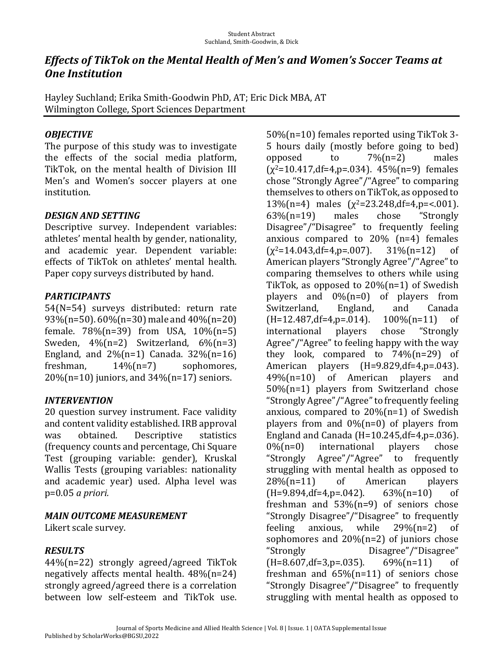## *Effects of TikTok on the Mental Health of Men's and Women's Soccer Teams at* **One Institution**

Hayley Suchland; Erika Smith-Goodwin PhD, AT; Eric Dick MBA, AT Wilmington College, Sport Sciences Department

#### *OBJECTIVE*

The purpose of this study was to investigate the effects of the social media platform, TikTok, on the mental health of Division III Men's and Women's soccer players at one institution. 

#### *DESIGN.AND.SETTING*

Descriptive survey. Independent variables: athletes' mental health by gender, nationality, and academic year. Dependent variable: effects of TikTok on athletes' mental health. Paper copy surveys distributed by hand.

### *PARTICIPANTS*

54(N=54) surveys distributed: return rate 93%(n=50).  $60\%$ (n=30) male and  $40\%$ (n=20) female.  $78\frac{1}{10}$  from USA,  $10\frac{1}{10}$  = 5) Sweden,  $4\frac{1}{12}$  Switzerland,  $6\frac{1}{12}$  (n=3) England, and  $2\frac{m}{n}=1$  Canada.  $32\frac{m}{n}=16$ freshman,  $14\%$ (n=7) sophomores,  $20\%$ (n=10) juniors, and  $34\%$ (n=17) seniors.

### *INTERVENTION*

20 question survey instrument. Face validity and content validity established. IRB approval was obtained. Descriptive statistics (frequency counts and percentage, Chi Square Test (grouping variable: gender), Kruskal Wallis Tests (grouping variables: nationality and academic year) used. Alpha level was p=0.05 *a priori.* 

### *MAIN.OUTCOME.MEASUREMENT*

Likert scale survey.

### *RESULTS*

44%(n=22) strongly agreed/agreed TikTok negatively affects mental health.  $48\%$ (n=24) strongly agreed/agreed there is a correlation between low self-esteem and TikTok use.

 $50\%$ (n=10) females reported using TikTok 3-5 hours daily (mostly before going to bed) opposed to  $7\frac{1}{12}$  males  $(y^2=10.417, df=4, p=.034)$ . 45% $(n=9)$  females chose "Strongly Agree"/"Agree" to comparing themselves to others on TikTok, as opposed to 13%(n=4) males  $(\chi^2=23.248, df=4, p=<.001)$ . 63%(n=19) males chose "Strongly Disagree"/"Disagree" to frequently feeling anxious compared to  $20\%$  (n=4) females  $(\chi^2=14.043, df=4, p=.007)$ . 31% (n=12) of American players "Strongly Agree"/"Agree" to comparing themselves to others while using TikTok, as opposed to  $20\%$ (n=1) of Swedish players and  $0\%$ (n=0) of players from Switzerland, England, and Canada  $(H=12.487, df=4, p=.014)$ .  $100\%(n=11)$  of international players chose "Strongly Agree"/"Agree" to feeling happy with the way they look, compared to  $74\frac{1}{12}$  (n=29) of American players (H=9.829,df=4,p=.043).  $49\%$ (n=10) of American players and  $50\%$ (n=1) players from Switzerland chose "Strongly Agree"/"Agree" to frequently feeling anxious, compared to  $20\frac{1}{n}$  =1) of Swedish players from and  $0\%$ (n=0) of players from England and Canada ( $H=10.245$ ,df=4,p=.036).  $0\%$ (n=0) international players chose "Strongly Agree"/"Agree" to frequently struggling with mental health as opposed to  $28\%$ (n=11) of American players  $(H=9.894, df=4, p=.042)$ . 63%(n=10) of freshman and  $53\%$ (n=9) of seniors chose "Strongly Disagree"/"Disagree" to frequently feeling anxious, while  $29\frac{1}{12}$  of sophomores and  $20\%$ (n=2) of juniors chose "Strongly Disagree"/"Disagree"  $(H=8.607, df=3, p=.035)$ .  $69\% (n=11)$  of freshman and  $65\%$ (n=11) of seniors chose "Strongly Disagree"/"Disagree" to frequently struggling with mental health as opposed to